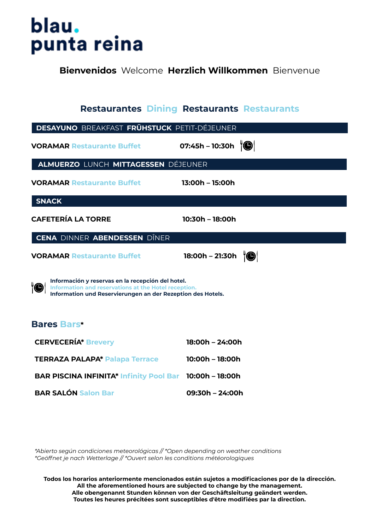# blau. punta reina

**Bienvenidos** Welcome **Herzlich Willkommen** Bienvenue

|                                                                                                                                                                                | <b>Restaurantes Dining Restaurants Restaurants</b> |
|--------------------------------------------------------------------------------------------------------------------------------------------------------------------------------|----------------------------------------------------|
| <b>DESAYUNO BREAKFAST FRÜHSTUCK PETIT-DÉJEUNER</b>                                                                                                                             |                                                    |
| <b>VORAMAR Restaurante Buffet</b>                                                                                                                                              | 07:45h - 10:30h $ \bullet $                        |
| ALMUERZO LUNCH MITTAGESSEN DÉJEUNER                                                                                                                                            |                                                    |
| <b>VORAMAR Restaurante Buffet</b>                                                                                                                                              | 13:00h - 15:00h                                    |
| SNACK                                                                                                                                                                          |                                                    |
| <b>CAFETERÍA LA TORRE</b>                                                                                                                                                      | 10:30h - 18:00h                                    |
| CENA DINNER ABENDESSEN DÎNER                                                                                                                                                   |                                                    |
| <b>VORAMAR Restaurante Buffet</b>                                                                                                                                              | 18:00h – 21:30h $\sqrt[3]{\bullet}$                |
| Información y reservas en la recepción del hotel.<br>'O<br>Information and reservations at the Hotel reception.<br>Information und Reservierungen an der Rezeption des Hotels. |                                                    |
| <b>Bares Bars*</b>                                                                                                                                                             |                                                    |
| <b>CERVECERÍA* Brevery</b>                                                                                                                                                     | 18:00h - 24:00h                                    |
| <b>TERRAZA PALAPA* Palapa Terrace</b>                                                                                                                                          | 10:00h - 18:00h                                    |
| <b>BAR PISCINA INFINITA* Infinity Pool Bar 10:00h - 18:00h</b>                                                                                                                 |                                                    |
| <b>BAR SALÓN Salon Bar</b>                                                                                                                                                     | 09:30h - 24:00h                                    |
|                                                                                                                                                                                |                                                    |

*\*Abierto según condiciones meteorológicas // \*Open depending on weather conditions \*Geöffnet je nach Wetterlage // \*Ouvert selon les conditions météorologiques*

**Todos los horarios anteriormente mencionados están sujetos a modificaciones por de la dirección. All the aforementioned hours are subjected to change by the management. Alle obengenannt Stunden können von der Geschäftsleitung geändert werden. Toutes les heures précitées sont susceptibles d'être modifiées par la direction.**